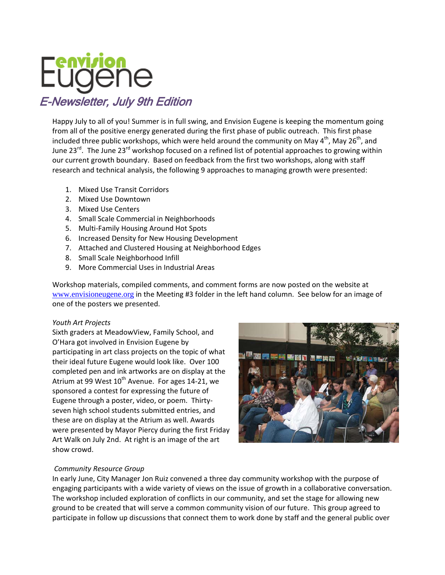

Happy July to all of you! Summer is in full swing, and Envision Eugene is keeping the momentum going from all of the positive energy generated during the first phase of public outreach. This first phase included three public workshops, which were held around the community on May  $4^{th}$ , May 26<sup>th</sup>, and June 23<sup>rd</sup>. The June 23<sup>rd</sup> workshop focused on a refined list of potential approaches to growing within our current growth boundary. Based on feedback from the first two workshops, along with staff research and technical analysis, the following 9 approaches to managing growth were presented:

- 1. Mixed Use Transit Corridors
- 2. Mixed Use Downtown
- 3. Mixed Use Centers
- 4. Small Scale Commercial in Neighborhoods
- 5. Multi‐Family Housing Around Hot Spots
- 6. Increased Density for New Housing Development
- 7. Attached and Clustered Housing at Neighborhood Edges
- 8. Small Scale Neighborhood Infill
- 9. More Commercial Uses in Industrial Areas

Workshop materials, compiled comments, and comment forms are now posted on the website at www.envisioneugene.org in the Meeting #3 folder in the left hand column. See below for an image of one of the posters we presented.

# *Youth Art Projects*

Sixth graders at MeadowView, Family School, and O'Hara got involved in Envision Eugene by participating in art class projects on the topic of what their ideal future Eugene would look like. Over 100 completed pen and ink artworks are on display at the Atrium at 99 West 10<sup>th</sup> Avenue. For ages 14-21, we sponsored a contest for expressing the future of Eugene through a poster, video, or poem. Thirty‐ seven high school students submitted entries, and these are on display at the Atrium as well. Awards were presented by Mayor Piercy during the first Friday Art Walk on July 2nd. At right is an image of the art show crowd.



# *Community Resource Group*

In early June, City Manager Jon Ruiz convened a three day community workshop with the purpose of engaging participants with a wide variety of views on the issue of growth in a collaborative conversation. The workshop included exploration of conflicts in our community, and set the stage for allowing new ground to be created that will serve a common community vision of our future. This group agreed to participate in follow up discussions that connect them to work done by staff and the general public over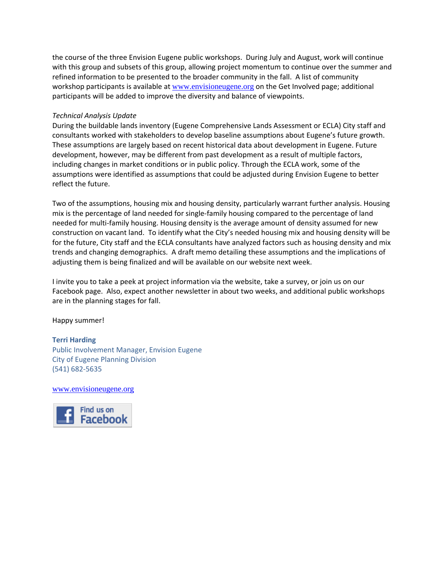the course of the three Envision Eugene public workshops. During July and August, work will continue with this group and subsets of this group, allowing project momentum to continue over the summer and refined information to be presented to the broader community in the fall. A list of community workshop participants is available at www.envisioneugene.org on the Get Involved page; additional participants will be added to improve the diversity and balance of viewpoints.

### *Technical Analysis Update*

During the buildable lands inventory (Eugene Comprehensive Lands Assessment or ECLA) City staff and consultants worked with stakeholders to develop baseline assumptions about Eugene's future growth. These assumptions are largely based on recent historical data about development in Eugene. Future development, however, may be different from past development as a result of multiple factors, including changes in market conditions or in public policy. Through the ECLA work, some of the assumptions were identified as assumptions that could be adjusted during Envision Eugene to better reflect the future.

Two of the assumptions, housing mix and housing density, particularly warrant further analysis. Housing mix is the percentage of land needed for single‐family housing compared to the percentage of land needed for multi‐family housing. Housing density is the average amount of density assumed for new construction on vacant land. To identify what the City's needed housing mix and housing density will be for the future, City staff and the ECLA consultants have analyzed factors such as housing density and mix trends and changing demographics. A draft memo detailing these assumptions and the implications of adjusting them is being finalized and will be available on our website next week.

I invite you to take a peek at project information via the website, take a survey, or join us on our Facebook page. Also, expect another newsletter in about two weeks, and additional public workshops are in the planning stages for fall.

Happy summer!

# **Terri Harding**

Public Involvement Manager, Envision Eugene City of Eugene Planning Division (541) 682‐5635

www.envisioneugene.org